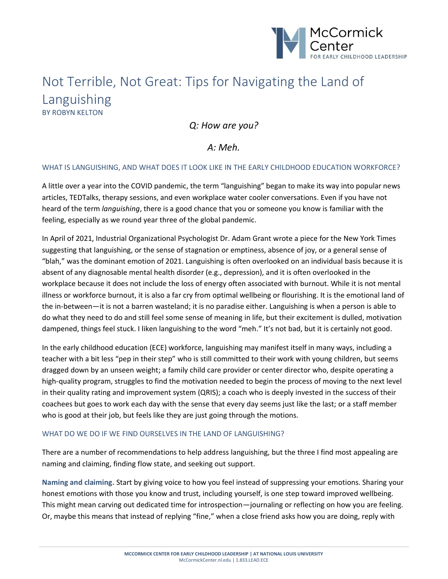

# Not Terrible, Not Great: Tips for Navigating the Land of Languishing BY ROBYN KELTON

*Q: How are you?*

## *A: Meh.*

#### WHAT IS LANGUISHING, AND WHAT DOES IT LOOK LIKE IN THE EARLY CHILDHOOD EDUCATION WORKFORCE?

A little over a year into the COVID pandemic, the term "languishing" began to make its way into popular news articles, TEDTalks, therapy sessions, and even workplace water cooler conversations. Even if you have not heard of the term *languishing*, there is a good chance that you or someone you know is familiar with the feeling, especially as we round year three of the global pandemic.

In April of 2021, Industrial Organizational Psychologist Dr. Adam Grant wrote a piece for the New York Times suggesting that languishing, or the sense of stagnation or emptiness, absence of joy, or a general sense of "blah," was the dominant emotion of 2021. Languishing is often overlooked on an individual basis because it is absent of any diagnosable mental health disorder (e.g., depression), and it is often overlooked in the workplace because it does not include the loss of energy often associated with burnout. While it is not mental illness or workforce burnout, it is also a far cry from optimal wellbeing or flourishing. It is the emotional land of the in-between—it is not a barren wasteland; it is no paradise either. Languishing is when a person is able to do what they need to do and still feel some sense of meaning in life, but their excitement is dulled, motivation dampened, things feel stuck. I liken languishing to the word "meh." It's not bad, but it is certainly not good.

In the early childhood education (ECE) workforce, languishing may manifest itself in many ways, including a teacher with a bit less "pep in their step" who is still committed to their work with young children, but seems dragged down by an unseen weight; a family child care provider or center director who, despite operating a high-quality program, struggles to find the motivation needed to begin the process of moving to the next level in their quality rating and improvement system (QRIS); a coach who is deeply invested in the success of their coachees but goes to work each day with the sense that every day seems just like the last; or a staff member who is good at their job, but feels like they are just going through the motions.

#### WHAT DO WE DO IF WE FIND OURSELVES IN THE LAND OF LANGUISHING?

There are a number of recommendations to help address languishing, but the three I find most appealing are naming and claiming, finding flow state, and seeking out support.

**Naming and claiming.** Start by giving voice to how you feel instead of suppressing your emotions. Sharing your honest emotions with those you know and trust, including yourself, is one step toward improved wellbeing. This might mean carving out dedicated time for introspection—journaling or reflecting on how you are feeling. Or, maybe this means that instead of replying "fine," when a close friend asks how you are doing, reply with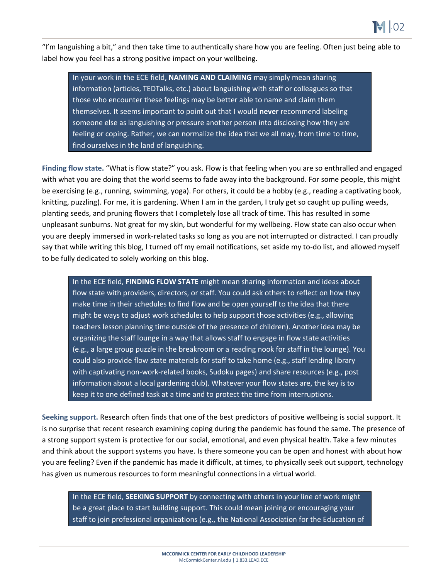"I'm languishing a bit," and then take time to authentically share how you are feeling. Often just being able to label how you feel has a strong positive impact on your wellbeing.

In your work in the ECE field, **NAMING AND CLAIMING** may simply mean sharing information (articles, TEDTalks, etc.) about languishing with staff or colleagues so that those who encounter these feelings may be better able to name and claim them themselves. It seems important to point out that I would **never** recommend labeling someone else as languishing or pressure another person into disclosing how they are feeling or coping. Rather, we can normalize the idea that we all may, from time to time, find ourselves in the land of languishing.

**Finding flow state.** "What is flow state?" you ask. Flow is that feeling when you are so enthralled and engaged with what you are doing that the world seems to fade away into the background. For some people, this might be exercising (e.g., running, swimming, yoga). For others, it could be a hobby (e.g., reading a captivating book, knitting, puzzling). For me, it is gardening. When I am in the garden, I truly get so caught up pulling weeds, planting seeds, and pruning flowers that I completely lose all track of time. This has resulted in some unpleasant sunburns. Not great for my skin, but wonderful for my wellbeing. Flow state can also occur when you are deeply immersed in work-related tasks so long as you are not interrupted or distracted. I can proudly say that while writing this blog, I turned off my email notifications, set aside my to-do list, and allowed myself to be fully dedicated to solely working on this blog.

In the ECE field, **FINDING FLOW STATE** might mean sharing information and ideas about flow state with providers, directors, or staff. You could ask others to reflect on how they make time in their schedules to find flow and be open yourself to the idea that there might be ways to adjust work schedules to help support those activities (e.g., allowing teachers lesson planning time outside of the presence of children). Another idea may be organizing the staff lounge in a way that allows staff to engage in flow state activities (e.g., a large group puzzle in the breakroom or a reading nook for staff in the lounge). You could also provide flow state materials for staff to take home (e.g., staff lending library with captivating non-work-related books, Sudoku pages) and share resources (e.g., post information about a local gardening club). Whatever your flow states are, the key is to keep it to one defined task at a time and to protect the time from interruptions.

**Seeking support.** Research often finds that one of the best predictors of positive wellbeing is social support. It is no surprise that recent research examining coping during the pandemic has found the same. The presence of a strong support system is protective for our social, emotional, and even physical health. Take a few minutes and think about the support systems you have. Is there someone you can be open and honest with about how you are feeling? Even if the pandemic has made it difficult, at times, to physically seek out support, technology has given us numerous resources to form meaningful connections in a virtual world.

In the ECE field, **SEEKING SUPPORT** by connecting with others in your line of work might be a great place to start building support. This could mean joining or encouraging your staff to join professional organizations (e.g., the National Association for the Education of